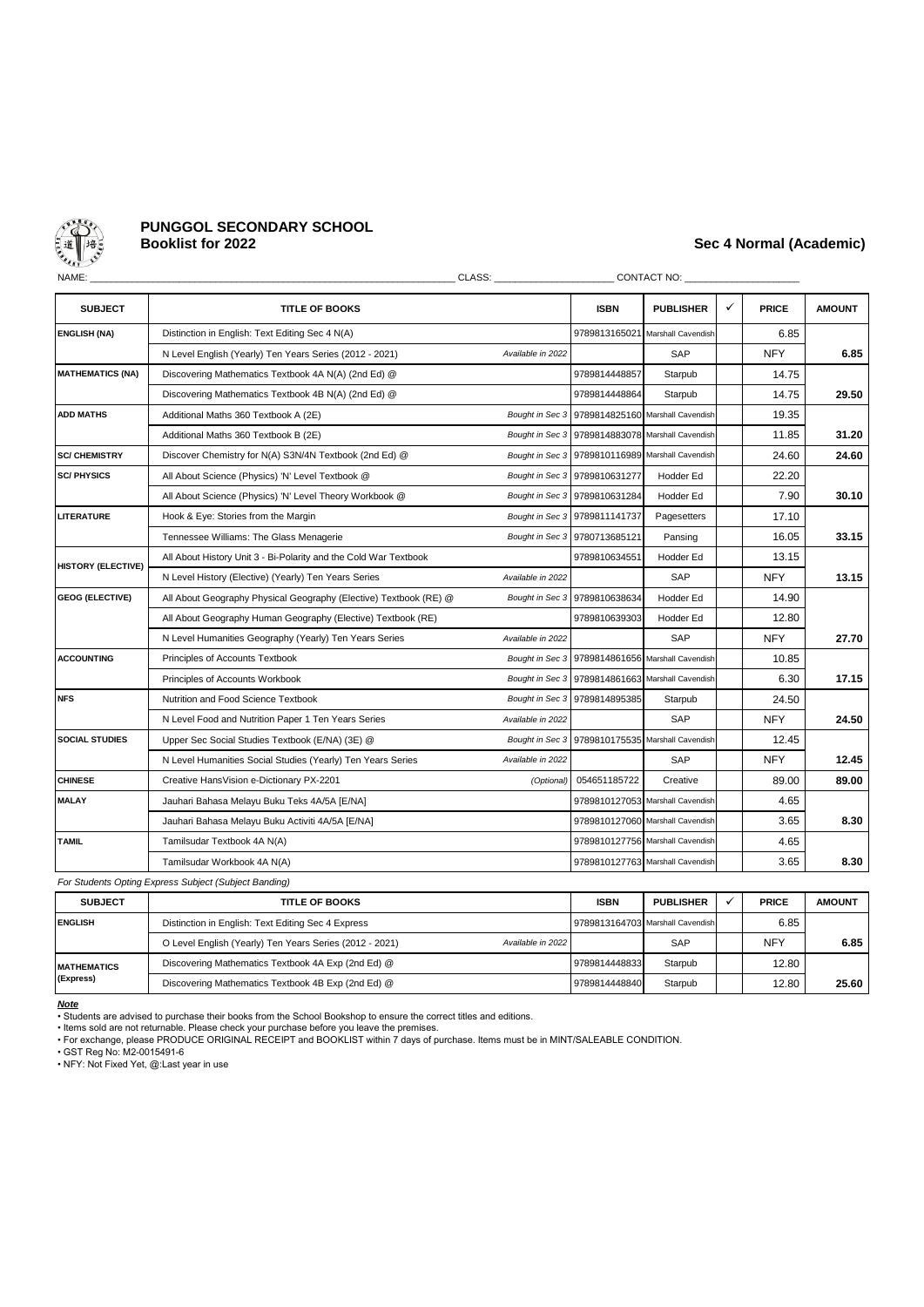

# **PUNGGOL SECONDARY SCHOOL**

## **Booklist for 2022 Sec 4 Normal (Academic)**

| NAME:<br>CLASS: <b>Example</b> |                                                                   |                   |                                                  | CONTACT NO: _____                                |   |              |               |  |  |  |  |
|--------------------------------|-------------------------------------------------------------------|-------------------|--------------------------------------------------|--------------------------------------------------|---|--------------|---------------|--|--|--|--|
| <b>SUBJECT</b>                 | <b>TITLE OF BOOKS</b>                                             |                   | <b>ISBN</b>                                      | <b>PUBLISHER</b>                                 | ✓ | <b>PRICE</b> | <b>AMOUNT</b> |  |  |  |  |
| <b>ENGLISH (NA)</b>            | Distinction in English: Text Editing Sec 4 N(A)                   |                   |                                                  | 9789813165021 Marshall Cavendish                 |   | 6.85         |               |  |  |  |  |
|                                | N Level English (Yearly) Ten Years Series (2012 - 2021)           | Available in 2022 |                                                  | SAP                                              |   | <b>NFY</b>   | 6.85          |  |  |  |  |
| <b>MATHEMATICS (NA)</b>        | Discovering Mathematics Textbook 4A N(A) (2nd Ed) @               |                   | 9789814448857                                    | Starpub                                          |   | 14.75        |               |  |  |  |  |
|                                | Discovering Mathematics Textbook 4B N(A) (2nd Ed) @               |                   | 9789814448864                                    | Starpub                                          |   | 14.75        | 29.50         |  |  |  |  |
| <b>ADD MATHS</b>               | Additional Maths 360 Textbook A (2E)                              | Bought in Sec 3   | 9789814825160                                    | Marshall Cavendish                               |   | 19.35        |               |  |  |  |  |
|                                | Additional Maths 360 Textbook B (2E)                              |                   |                                                  | Bought in Sec 3 9789814883078 Marshall Cavendish |   | 11.85        | 31.20         |  |  |  |  |
| <b>SC/ CHEMISTRY</b>           | Discover Chemistry for N(A) S3N/4N Textbook (2nd Ed) @            |                   |                                                  | Bought in Sec 3 9789810116989 Marshall Cavendish |   | 24.60        | 24.60         |  |  |  |  |
| <b>SC/PHYSICS</b>              | All About Science (Physics) 'N' Level Textbook @                  |                   | Bought in Sec 3 9789810631277                    | Hodder Ed                                        |   | 22.20        |               |  |  |  |  |
|                                | All About Science (Physics) 'N' Level Theory Workbook @           |                   | Bought in Sec 3 9789810631284                    | Hodder Ed                                        |   | 7.90         | 30.10         |  |  |  |  |
| <b>LITERATURE</b>              | Hook & Eye: Stories from the Margin                               |                   | Bought in Sec 3 9789811141737                    | Pagesetters                                      |   | 17.10        |               |  |  |  |  |
|                                | Tennessee Williams: The Glass Menagerie                           |                   | Bought in Sec 3 9780713685121                    | Pansing                                          |   | 16.05        | 33.15         |  |  |  |  |
| <b>HISTORY (ELECTIVE)</b>      | All About History Unit 3 - Bi-Polarity and the Cold War Textbook  |                   | 9789810634551                                    | Hodder Ed                                        |   | 13.15        |               |  |  |  |  |
|                                | N Level History (Elective) (Yearly) Ten Years Series              | Available in 2022 |                                                  | SAP                                              |   | <b>NFY</b>   | 13.15         |  |  |  |  |
| <b>GEOG (ELECTIVE)</b>         | All About Geography Physical Geography (Elective) Textbook (RE) @ |                   | Bought in Sec 3 9789810638634                    | <b>Hodder Ed</b>                                 |   | 14.90        |               |  |  |  |  |
|                                | All About Geography Human Geography (Elective) Textbook (RE)      |                   | 9789810639303                                    | Hodder Ed                                        |   | 12.80        |               |  |  |  |  |
|                                | N Level Humanities Geography (Yearly) Ten Years Series            | Available in 2022 |                                                  | SAP                                              |   | <b>NFY</b>   | 27.70         |  |  |  |  |
| <b>ACCOUNTING</b>              | Principles of Accounts Textbook                                   |                   | Bought in Sec 3 9789814861656 Marshall Cavendish |                                                  |   | 10.85        |               |  |  |  |  |
|                                | Principles of Accounts Workbook                                   |                   |                                                  | Bought in Sec 3 9789814861663 Marshall Cavendish |   | 6.30         | 17.15         |  |  |  |  |
| <b>NFS</b>                     | Nutrition and Food Science Textbook                               |                   | Bought in Sec 3 9789814895385                    | Starpub                                          |   | 24.50        |               |  |  |  |  |
|                                | N Level Food and Nutrition Paper 1 Ten Years Series               | Available in 2022 |                                                  | SAP                                              |   | <b>NFY</b>   | 24.50         |  |  |  |  |
| <b>SOCIAL STUDIES</b>          | Upper Sec Social Studies Textbook (E/NA) (3E) @                   | Bought in Sec 3   |                                                  | 9789810175535 Marshall Cavendish                 |   | 12.45        |               |  |  |  |  |
|                                | N Level Humanities Social Studies (Yearly) Ten Years Series       | Available in 2022 |                                                  | SAP                                              |   | <b>NFY</b>   | 12.45         |  |  |  |  |
| <b>CHINESE</b>                 | Creative HansVision e-Dictionary PX-2201                          | (Optional)        | 054651185722                                     | Creative                                         |   | 89.00        | 89.00         |  |  |  |  |
| <b>MALAY</b>                   | Jauhari Bahasa Melayu Buku Teks 4A/5A [E/NA]                      |                   |                                                  | 9789810127053 Marshall Cavendish                 |   | 4.65         |               |  |  |  |  |
|                                | Jauhari Bahasa Melayu Buku Activiti 4A/5A [E/NA]                  |                   |                                                  | 9789810127060 Marshall Cavendish                 |   | 3.65         | 8.30          |  |  |  |  |
| <b>TAMIL</b>                   | Tamilsudar Textbook 4A N(A)                                       |                   |                                                  | 9789810127756 Marshall Cavendish                 |   | 4.65         |               |  |  |  |  |
|                                | Tamilsudar Workbook 4A N(A)                                       |                   |                                                  | 9789810127763 Marshall Cavendish                 |   | 3.65         | 8.30          |  |  |  |  |
|                                |                                                                   |                   |                                                  |                                                  |   |              |               |  |  |  |  |

*For Students Opting Express Subject (Subject Banding)*

| <b>SUBJECT</b>      | <b>TITLE OF BOOKS</b>                                                        | <b>ISBN</b>   | <b>PUBLISHER</b>                 | <b>PRICE</b> | <b>AMOUNT</b> |
|---------------------|------------------------------------------------------------------------------|---------------|----------------------------------|--------------|---------------|
| <b>ENGLISH</b>      | Distinction in English: Text Editing Sec 4 Express                           |               | 9789813164703 Marshall Cavendish | 6.85         |               |
|                     | O Level English (Yearly) Ten Years Series (2012 - 2021)<br>Available in 2022 |               | SAP                              | <b>NFY</b>   | 6.85          |
| <b>IMATHEMATICS</b> | Discovering Mathematics Textbook 4A Exp (2nd Ed) @                           | 9789814448833 | Starpub                          | 12.80        |               |
| (Express)           | Discovering Mathematics Textbook 4B Exp (2nd Ed) @                           | 9789814448840 | Starpub                          | 12.80        | 25.60         |

*Note*

• Students are advised to purchase their books from the School Bookshop to ensure the correct titles and editions.

• Items sold are not returnable. Please check your purchase before you leave the premises. • For exchange, please PRODUCE ORIGINAL RECEIPT and BOOKLIST within 7 days of purchase. Items must be in MINT/SALEABLE CONDITION.

• GST Reg No: M2-0015491-6 • NFY: Not Fixed Yet, @:Last year in use